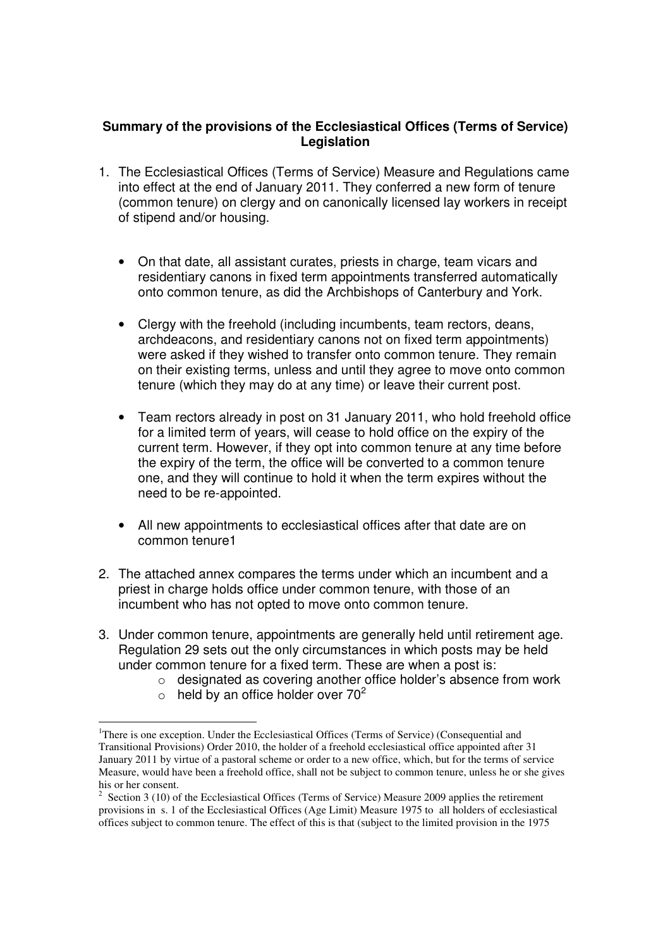### **Summary of the provisions of the Ecclesiastical Offices (Terms of Service) Legislation**

- 1. The Ecclesiastical Offices (Terms of Service) Measure and Regulations came into effect at the end of January 2011. They conferred a new form of tenure (common tenure) on clergy and on canonically licensed lay workers in receipt of stipend and/or housing.
	- On that date, all assistant curates, priests in charge, team vicars and residentiary canons in fixed term appointments transferred automatically onto common tenure, as did the Archbishops of Canterbury and York.
	- Clergy with the freehold (including incumbents, team rectors, deans, archdeacons, and residentiary canons not on fixed term appointments) were asked if they wished to transfer onto common tenure. They remain on their existing terms, unless and until they agree to move onto common tenure (which they may do at any time) or leave their current post.
	- Team rectors already in post on 31 January 2011, who hold freehold office for a limited term of years, will cease to hold office on the expiry of the current term. However, if they opt into common tenure at any time before the expiry of the term, the office will be converted to a common tenure one, and they will continue to hold it when the term expires without the need to be re-appointed.
	- All new appointments to ecclesiastical offices after that date are on common tenure1
- 2. The attached annex compares the terms under which an incumbent and a priest in charge holds office under common tenure, with those of an incumbent who has not opted to move onto common tenure.
- 3. Under common tenure, appointments are generally held until retirement age. Regulation 29 sets out the only circumstances in which posts may be held under common tenure for a fixed term. These are when a post is:
	- o designated as covering another office holder's absence from work
	- $\circ$  held by an office holder over 70<sup>2</sup>

<sup>-</sup><sup>1</sup>There is one exception. Under the Ecclesiastical Offices (Terms of Service) (Consequential and Transitional Provisions) Order 2010, the holder of a freehold ecclesiastical office appointed after 31 January 2011 by virtue of a pastoral scheme or order to a new office, which, but for the terms of service Measure, would have been a freehold office, shall not be subject to common tenure, unless he or she gives his or her consent.

 $2^2$  Section 3 (10) of the Ecclesiastical Offices (Terms of Service) Measure 2009 applies the retirement provisions in s. 1 of the Ecclesiastical Offices (Age Limit) Measure 1975 to all holders of ecclesiastical offices subject to common tenure. The effect of this is that (subject to the limited provision in the 1975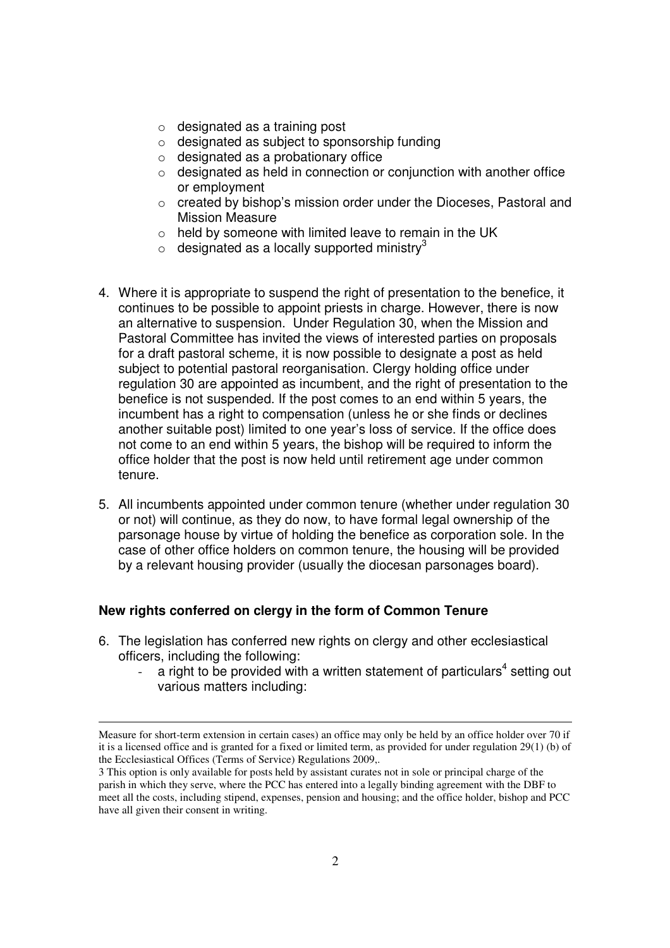- o designated as a training post
- o designated as subject to sponsorship funding
- $\circ$  designated as a probationary office
- $\circ$  designated as held in connection or conjunction with another office or employment
- o created by bishop's mission order under the Dioceses, Pastoral and Mission Measure
- $\circ$  held by someone with limited leave to remain in the UK
- $\circ$  designated as a locally supported ministry<sup>3</sup>
- 4. Where it is appropriate to suspend the right of presentation to the benefice, it continues to be possible to appoint priests in charge. However, there is now an alternative to suspension. Under Regulation 30, when the Mission and Pastoral Committee has invited the views of interested parties on proposals for a draft pastoral scheme, it is now possible to designate a post as held subject to potential pastoral reorganisation. Clergy holding office under regulation 30 are appointed as incumbent, and the right of presentation to the benefice is not suspended. If the post comes to an end within 5 years, the incumbent has a right to compensation (unless he or she finds or declines another suitable post) limited to one year's loss of service. If the office does not come to an end within 5 years, the bishop will be required to inform the office holder that the post is now held until retirement age under common tenure.
- 5. All incumbents appointed under common tenure (whether under regulation 30 or not) will continue, as they do now, to have formal legal ownership of the parsonage house by virtue of holding the benefice as corporation sole. In the case of other office holders on common tenure, the housing will be provided by a relevant housing provider (usually the diocesan parsonages board).

#### **New rights conferred on clergy in the form of Common Tenure**

 $\overline{a}$ 

- 6. The legislation has conferred new rights on clergy and other ecclesiastical officers, including the following:
	- a right to be provided with a written statement of particulars<sup>4</sup> setting out various matters including:

Measure for short-term extension in certain cases) an office may only be held by an office holder over 70 if it is a licensed office and is granted for a fixed or limited term, as provided for under regulation 29(1) (b) of the Ecclesiastical Offices (Terms of Service) Regulations 2009,.

<sup>3</sup> This option is only available for posts held by assistant curates not in sole or principal charge of the parish in which they serve, where the PCC has entered into a legally binding agreement with the DBF to meet all the costs, including stipend, expenses, pension and housing; and the office holder, bishop and PCC have all given their consent in writing.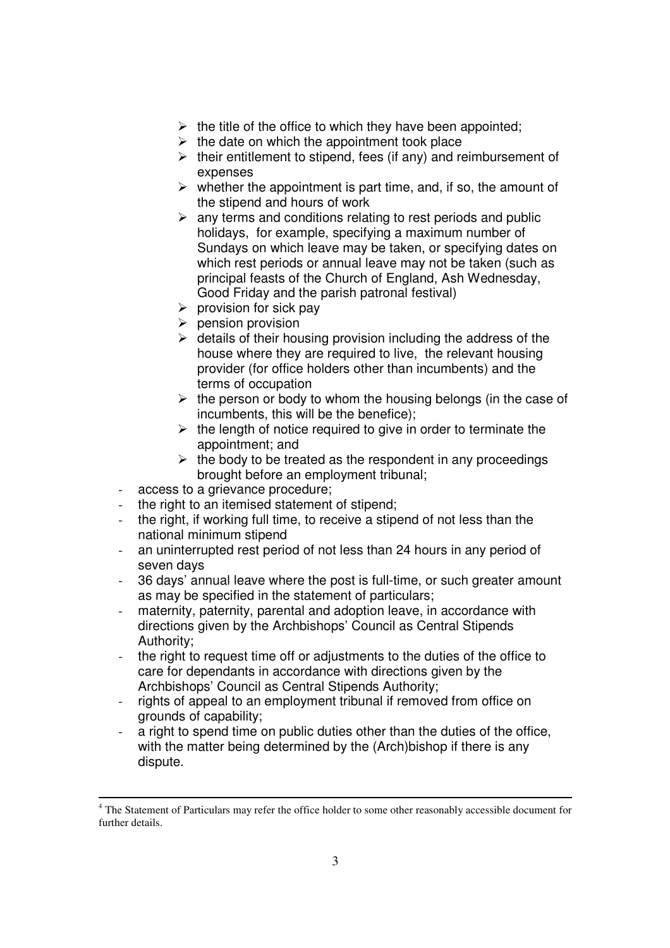- $\triangleright$  the title of the office to which they have been appointed;
- $\triangleright$  the date on which the appointment took place
- $\triangleright$  their entitlement to stipend, fees (if any) and reimbursement of expenses
- $\triangleright$  whether the appointment is part time, and, if so, the amount of the stipend and hours of work
- $\triangleright$  any terms and conditions relating to rest periods and public holidays, for example, specifying a maximum number of Sundays on which leave may be taken, or specifying dates on which rest periods or annual leave may not be taken (such as principal feasts of the Church of England, Ash Wednesday, Good Friday and the parish patronal festival)
- $\triangleright$  provision for sick pay
- $\triangleright$  pension provision
- $\triangleright$  details of their housing provision including the address of the house where they are required to live, the relevant housing provider (for office holders other than incumbents) and the terms of occupation
- $\triangleright$  the person or body to whom the housing belongs (in the case of incumbents, this will be the benefice);
- $\triangleright$  the length of notice required to give in order to terminate the appointment; and
- $\triangleright$  the body to be treated as the respondent in any proceedings brought before an employment tribunal;
- access to a grievance procedure;
- the right to an itemised statement of stipend:
- the right, if working full time, to receive a stipend of not less than the national minimum stipend
- an uninterrupted rest period of not less than 24 hours in any period of seven days
- 36 days' annual leave where the post is full-time, or such greater amount as may be specified in the statement of particulars;
- maternity, paternity, parental and adoption leave, in accordance with directions given by the Archbishops' Council as Central Stipends Authority;
- the right to request time off or adjustments to the duties of the office to care for dependants in accordance with directions given by the Archbishops' Council as Central Stipends Authority;
- rights of appeal to an employment tribunal if removed from office on grounds of capability;
- a right to spend time on public duties other than the duties of the office, with the matter being determined by the (Arch) bishop if there is any dispute.

 $\overline{a}$ <sup>4</sup> The Statement of Particulars may refer the office holder to some other reasonably accessible document for further details.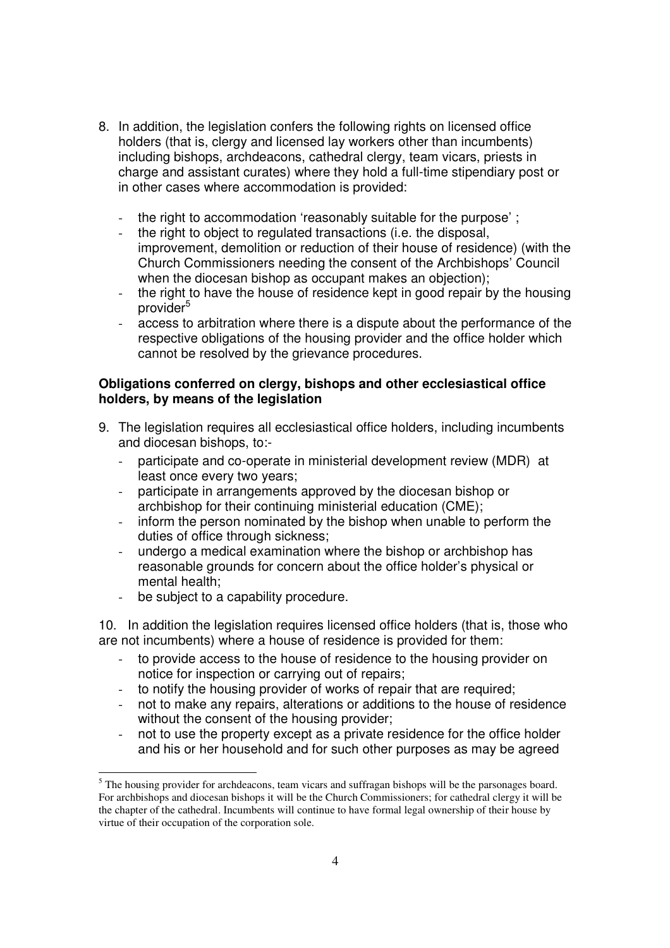- 8. In addition, the legislation confers the following rights on licensed office holders (that is, clergy and licensed lay workers other than incumbents) including bishops, archdeacons, cathedral clergy, team vicars, priests in charge and assistant curates) where they hold a full-time stipendiary post or in other cases where accommodation is provided:
	- the right to accommodation 'reasonably suitable for the purpose' ;
	- the right to object to regulated transactions (i.e. the disposal, improvement, demolition or reduction of their house of residence) (with the Church Commissioners needing the consent of the Archbishops' Council when the diocesan bishop as occupant makes an objection);
	- the right to have the house of residence kept in good repair by the housing provider<sup>5</sup>
	- access to arbitration where there is a dispute about the performance of the respective obligations of the housing provider and the office holder which cannot be resolved by the grievance procedures.

#### **Obligations conferred on clergy, bishops and other ecclesiastical office holders, by means of the legislation**

- 9. The legislation requires all ecclesiastical office holders, including incumbents and diocesan bishops, to:-
	- participate and co-operate in ministerial development review (MDR) at least once every two years;
	- participate in arrangements approved by the diocesan bishop or archbishop for their continuing ministerial education (CME);
	- inform the person nominated by the bishop when unable to perform the duties of office through sickness:
	- undergo a medical examination where the bishop or archbishop has reasonable grounds for concern about the office holder's physical or mental health;
	- be subject to a capability procedure.

10. In addition the legislation requires licensed office holders (that is, those who are not incumbents) where a house of residence is provided for them:

- to provide access to the house of residence to the housing provider on notice for inspection or carrying out of repairs;
- to notify the housing provider of works of repair that are required;
- not to make any repairs, alterations or additions to the house of residence without the consent of the housing provider;
- not to use the property except as a private residence for the office holder and his or her household and for such other purposes as may be agreed

The housing provider for archdeacons, team vicars and suffragan bishops will be the parsonages board. For archbishops and diocesan bishops it will be the Church Commissioners; for cathedral clergy it will be the chapter of the cathedral. Incumbents will continue to have formal legal ownership of their house by virtue of their occupation of the corporation sole.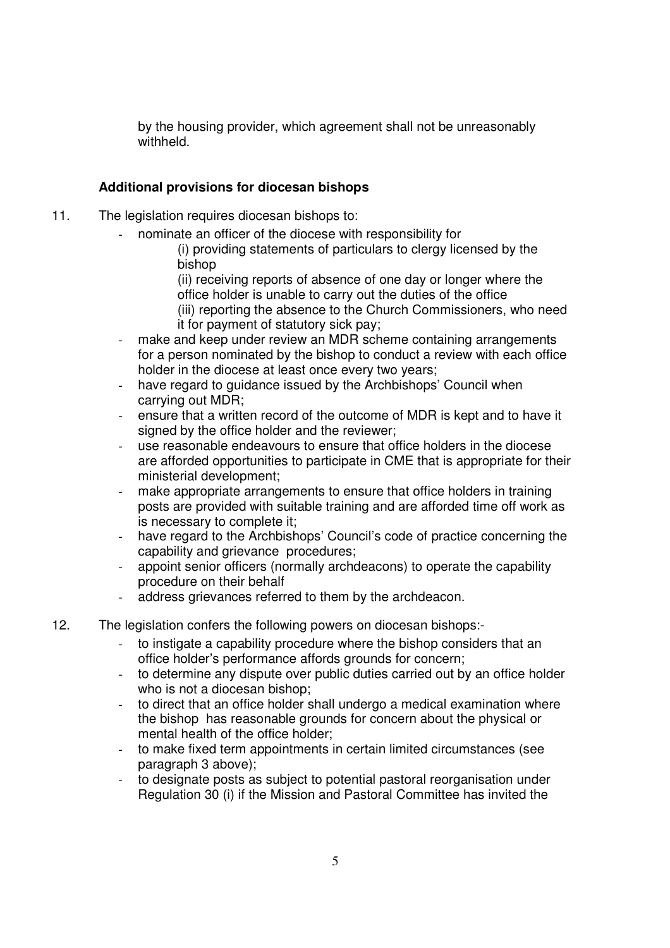by the housing provider, which agreement shall not be unreasonably withheld.

## **Additional provisions for diocesan bishops**

- 11. The legislation requires diocesan bishops to:
	- nominate an officer of the diocese with responsibility for
		- (i) providing statements of particulars to clergy licensed by the bishop

(ii) receiving reports of absence of one day or longer where the office holder is unable to carry out the duties of the office

(iii) reporting the absence to the Church Commissioners, who need it for payment of statutory sick pay;

- make and keep under review an MDR scheme containing arrangements for a person nominated by the bishop to conduct a review with each office holder in the diocese at least once every two years;
- have regard to guidance issued by the Archbishops' Council when carrying out MDR;
- ensure that a written record of the outcome of MDR is kept and to have it signed by the office holder and the reviewer:
- use reasonable endeavours to ensure that office holders in the diocese are afforded opportunities to participate in CME that is appropriate for their ministerial development;
- make appropriate arrangements to ensure that office holders in training posts are provided with suitable training and are afforded time off work as is necessary to complete it;
- have regard to the Archbishops' Council's code of practice concerning the capability and grievance procedures;
- appoint senior officers (normally archdeacons) to operate the capability procedure on their behalf
- address grievances referred to them by the archdeacon.
- 12. The legislation confers the following powers on diocesan bishops:
	- to instigate a capability procedure where the bishop considers that an office holder's performance affords grounds for concern;
	- to determine any dispute over public duties carried out by an office holder who is not a diocesan bishop;
	- to direct that an office holder shall undergo a medical examination where the bishop has reasonable grounds for concern about the physical or mental health of the office holder;
	- to make fixed term appointments in certain limited circumstances (see paragraph 3 above);
	- to designate posts as subject to potential pastoral reorganisation under Regulation 30 (i) if the Mission and Pastoral Committee has invited the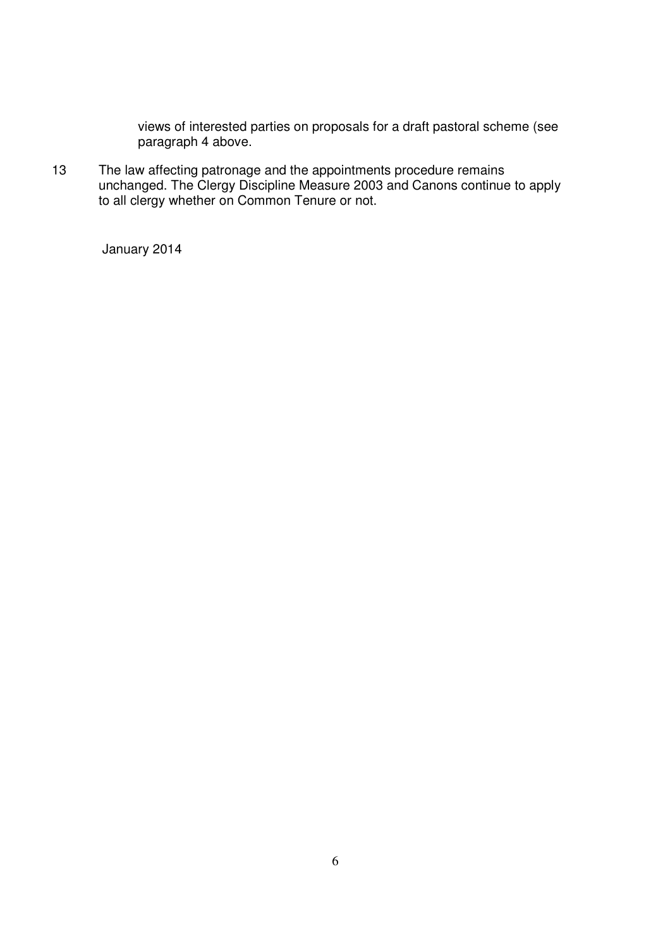views of interested parties on proposals for a draft pastoral scheme (see paragraph 4 above.

13 The law affecting patronage and the appointments procedure remains unchanged. The Clergy Discipline Measure 2003 and Canons continue to apply to all clergy whether on Common Tenure or not.

January 2014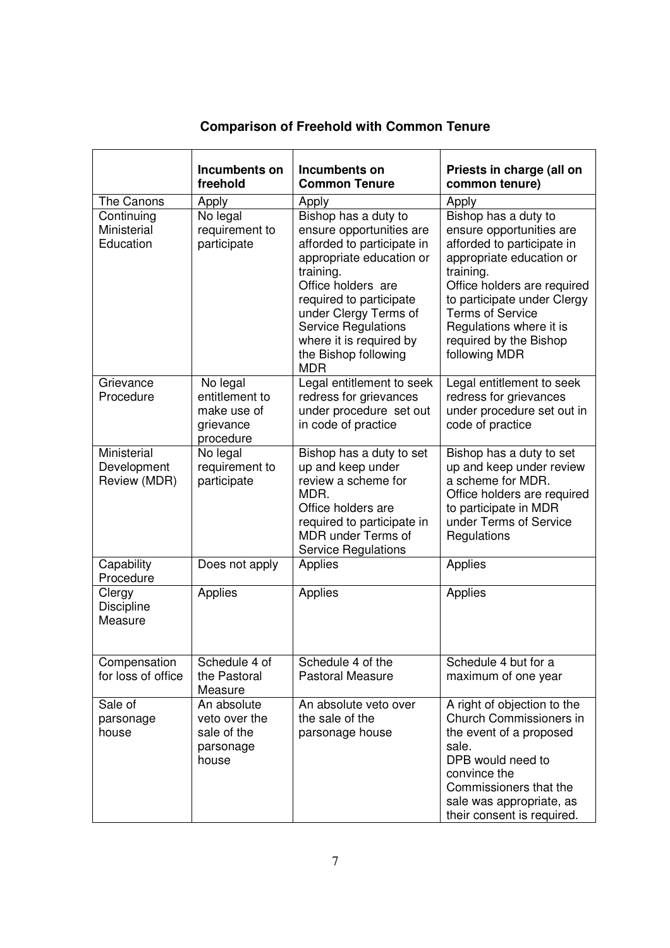|                                            | Incumbents on<br>freehold                                           | Incumbents on<br><b>Common Tenure</b>                                                                                                                                                                                                                                                            | Priests in charge (all on<br>common tenure)                                                                                                                                                                                                                                            |
|--------------------------------------------|---------------------------------------------------------------------|--------------------------------------------------------------------------------------------------------------------------------------------------------------------------------------------------------------------------------------------------------------------------------------------------|----------------------------------------------------------------------------------------------------------------------------------------------------------------------------------------------------------------------------------------------------------------------------------------|
| The Canons                                 | Apply                                                               | Apply                                                                                                                                                                                                                                                                                            | Apply                                                                                                                                                                                                                                                                                  |
| Continuing<br>Ministerial<br>Education     | No legal<br>requirement to<br>participate                           | Bishop has a duty to<br>ensure opportunities are<br>afforded to participate in<br>appropriate education or<br>training.<br>Office holders are<br>required to participate<br>under Clergy Terms of<br><b>Service Regulations</b><br>where it is required by<br>the Bishop following<br><b>MDR</b> | Bishop has a duty to<br>ensure opportunities are<br>afforded to participate in<br>appropriate education or<br>training.<br>Office holders are required<br>to participate under Clergy<br><b>Terms of Service</b><br>Regulations where it is<br>required by the Bishop<br>following MDR |
| Grievance<br>Procedure                     | No legal<br>entitlement to<br>make use of<br>grievance<br>procedure | Legal entitlement to seek<br>redress for grievances<br>under procedure set out<br>in code of practice                                                                                                                                                                                            | Legal entitlement to seek<br>redress for grievances<br>under procedure set out in<br>code of practice                                                                                                                                                                                  |
| Ministerial<br>Development<br>Review (MDR) | No legal<br>requirement to<br>participate                           | Bishop has a duty to set<br>up and keep under<br>review a scheme for<br>MDR.<br>Office holders are<br>required to participate in<br><b>MDR</b> under Terms of<br><b>Service Regulations</b>                                                                                                      | Bishop has a duty to set<br>up and keep under review<br>a scheme for MDR.<br>Office holders are required<br>to participate in MDR<br>under Terms of Service<br>Regulations                                                                                                             |
| Capability<br>Procedure                    | Does not apply                                                      | Applies                                                                                                                                                                                                                                                                                          | Applies                                                                                                                                                                                                                                                                                |
| Clergy<br><b>Discipline</b><br>Measure     | Applies                                                             | Applies                                                                                                                                                                                                                                                                                          | Applies                                                                                                                                                                                                                                                                                |
| Compensation<br>for loss of office         | Schedule 4 of<br>the Pastoral<br>Measure                            | Schedule 4 of the<br><b>Pastoral Measure</b>                                                                                                                                                                                                                                                     | Schedule 4 but for a<br>maximum of one year                                                                                                                                                                                                                                            |
| Sale of<br>parsonage<br>house              | An absolute<br>veto over the<br>sale of the<br>parsonage<br>house   | An absolute veto over<br>the sale of the<br>parsonage house                                                                                                                                                                                                                                      | A right of objection to the<br>Church Commissioners in<br>the event of a proposed<br>sale.<br>DPB would need to<br>convince the<br>Commissioners that the<br>sale was appropriate, as<br>their consent is required.                                                                    |

# **Comparison of Freehold with Common Tenure**